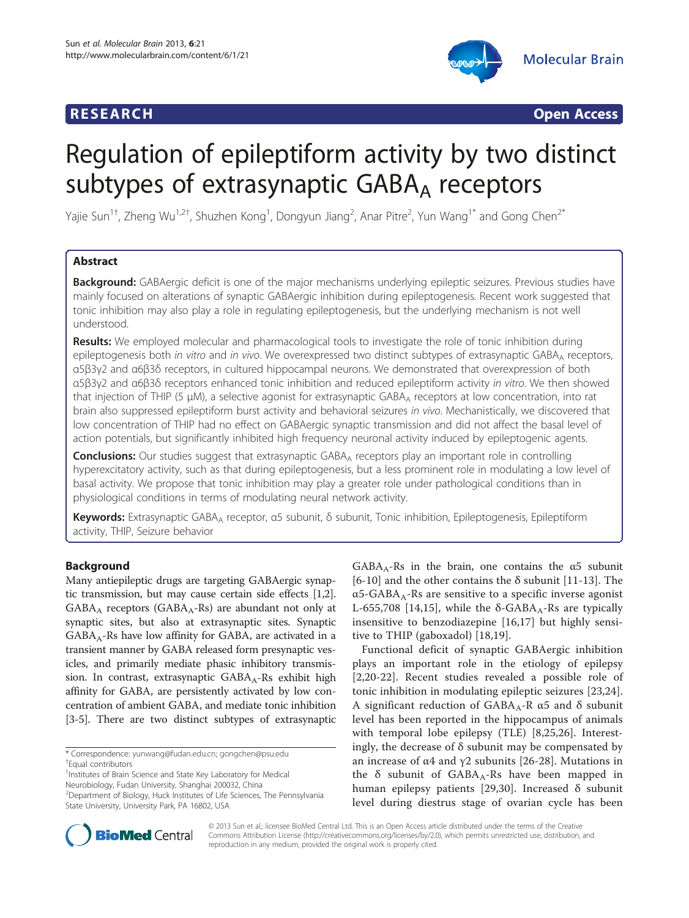# **RESEARCH CHINESE ARCH CHINESE ARCH CHINESE ARCH**



# Regulation of epileptiform activity by two distinct subtypes of extrasynaptic  $GABA_A$  receptors

Yajie Sun<sup>1†</sup>, Zheng Wu<sup>1,2†</sup>, Shuzhen Kong<sup>1</sup>, Dongyun Jiang<sup>2</sup>, Anar Pitre<sup>2</sup>, Yun Wang<sup>1\*</sup> and Gong Chen<sup>2\*</sup>

# Abstract

Background: GABAergic deficit is one of the major mechanisms underlying epileptic seizures. Previous studies have mainly focused on alterations of synaptic GABAergic inhibition during epileptogenesis. Recent work suggested that tonic inhibition may also play a role in regulating epileptogenesis, but the underlying mechanism is not well understood.

Results: We employed molecular and pharmacological tools to investigate the role of tonic inhibition during epileptogenesis both in vitro and in vivo. We overexpressed two distinct subtypes of extrasynaptic GABAA receptors, α5β3γ2 and α6β3δ receptors, in cultured hippocampal neurons. We demonstrated that overexpression of both α5β3γ2 and α6β3δ receptors enhanced tonic inhibition and reduced epileptiform activity in vitro. We then showed that injection of THIP (5 μM), a selective agonist for extrasynaptic GABA<sub>A</sub> receptors at low concentration, into rat brain also suppressed epileptiform burst activity and behavioral seizures in vivo. Mechanistically, we discovered that low concentration of THIP had no effect on GABAergic synaptic transmission and did not affect the basal level of action potentials, but significantly inhibited high frequency neuronal activity induced by epileptogenic agents.

**Conclusions:** Our studies suggest that extrasynaptic GABA<sub>A</sub> receptors play an important role in controlling hyperexcitatory activity, such as that during epileptogenesis, but a less prominent role in modulating a low level of basal activity. We propose that tonic inhibition may play a greater role under pathological conditions than in physiological conditions in terms of modulating neural network activity.

Keywords: Extrasynaptic GABA<sub>A</sub> receptor, α5 subunit, δ subunit, Tonic inhibition, Epileptogenesis, Epileptiform activity, THIP, Seizure behavior

# Background

Many antiepileptic drugs are targeting GABAergic synaptic transmission, but may cause certain side effects [[1](#page-10-0),[2](#page-10-0)].  $GABA_A$  receptors ( $GABA_A-Rs$ ) are abundant not only at synaptic sites, but also at extrasynaptic sites. Synaptic  $GABA_A-Rs$  have low affinity for  $GABA$ , are activated in a transient manner by GABA released form presynaptic vesicles, and primarily mediate phasic inhibitory transmission. In contrast, extrasynaptic  $GABA_A-Rs$  exhibit high affinity for GABA, are persistently activated by low concentration of ambient GABA, and mediate tonic inhibition [[3-5\]](#page-10-0). There are two distinct subtypes of extrasynaptic

<sup>1</sup> Institutes of Brain Science and State Key Laboratory for Medical Neurobiology, Fudan University, Shanghai 200032, China

<sup>2</sup>Department of Biology, Huck Institutes of Life Sciences, The Pennsylvania State University, University Park, PA 16802, USA

 $GABA_A-Rs$  in the brain, one contains the  $\alpha5$  subunit [[6-](#page-10-0)[10\]](#page-11-0) and the other contains the  $\delta$  subunit [\[11](#page-11-0)-[13](#page-11-0)]. The  $\alpha$ 5-GABA<sub>A</sub>-Rs are sensitive to a specific inverse agonist L-655,708 [\[14,15\]](#page-11-0), while the  $\delta$ -GABA<sub>A</sub>-Rs are typically insensitive to benzodiazepine [[16,17](#page-11-0)] but highly sensitive to THIP (gaboxadol) [\[18](#page-11-0),[19\]](#page-11-0).

Functional deficit of synaptic GABAergic inhibition plays an important role in the etiology of epilepsy [[2](#page-10-0)[,20](#page-11-0)-[22](#page-11-0)]. Recent studies revealed a possible role of tonic inhibition in modulating epileptic seizures [[23,24](#page-11-0)]. A significant reduction of  $GABA_A-R$  α5 and δ subunit level has been reported in the hippocampus of animals with temporal lobe epilepsy (TLE) [\[8](#page-10-0)[,25,26\]](#page-11-0). Interestingly, the decrease of  $\delta$  subunit may be compensated by an increase of α4 and  $γ2$  subunits [\[26](#page-11-0)-[28](#page-11-0)]. Mutations in the  $\delta$  subunit of GABA<sub>A</sub>-Rs have been mapped in human epilepsy patients [[29,30](#page-11-0)]. Increased δ subunit level during diestrus stage of ovarian cycle has been



© 2013 Sun et al.; licensee BioMed Central Ltd. This is an Open Access article distributed under the terms of the Creative Commons Attribution License [\(http://creativecommons.org/licenses/by/2.0\)](http://creativecommons.org/licenses/by/2.0), which permits unrestricted use, distribution, and reproduction in any medium, provided the original work is properly cited.

<sup>\*</sup> Correspondence: [yunwang@fudan.edu.cn;](mailto:yunwang@fudan.edu.cn) [gongchen@psu.edu](mailto:gongchen@psu.edu) † Equal contributors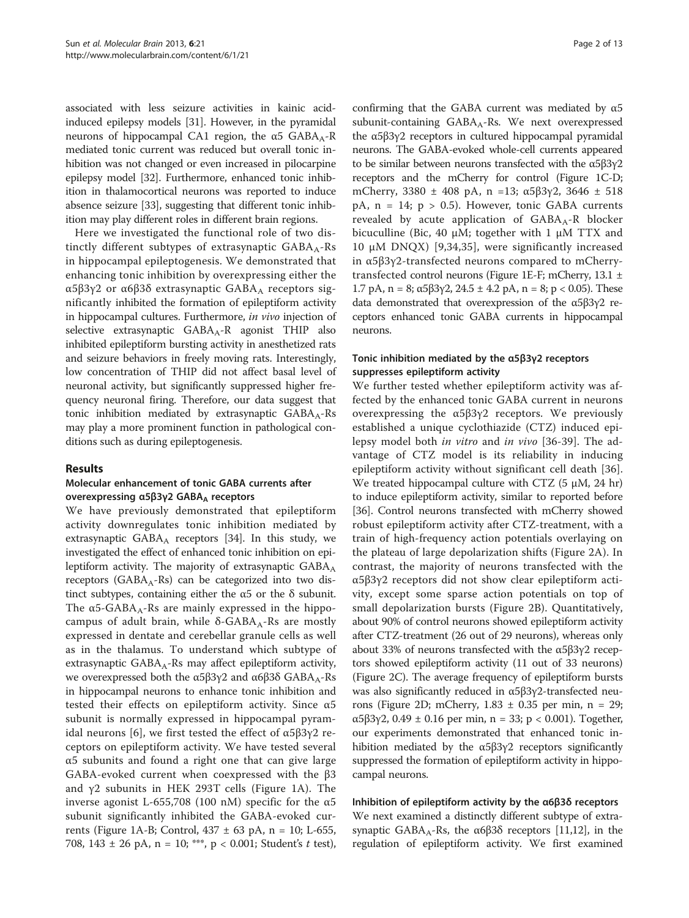associated with less seizure activities in kainic acidinduced epilepsy models [\[31\]](#page-11-0). However, in the pyramidal neurons of hippocampal CA1 region, the  $α5$  GABA<sub>A</sub>-R mediated tonic current was reduced but overall tonic inhibition was not changed or even increased in pilocarpine epilepsy model [\[32](#page-11-0)]. Furthermore, enhanced tonic inhibition in thalamocortical neurons was reported to induce absence seizure [\[33\]](#page-11-0), suggesting that different tonic inhibition may play different roles in different brain regions.

Here we investigated the functional role of two distinctly different subtypes of extrasynaptic  $GABA_A-Rs$ in hippocampal epileptogenesis. We demonstrated that enhancing tonic inhibition by overexpressing either the α5β3γ2 or α6β3δ extrasynaptic  $GABA_A$  receptors significantly inhibited the formation of epileptiform activity in hippocampal cultures. Furthermore, in vivo injection of selective extrasynaptic  $GABA_A-R$  agonist THIP also inhibited epileptiform bursting activity in anesthetized rats and seizure behaviors in freely moving rats. Interestingly, low concentration of THIP did not affect basal level of neuronal activity, but significantly suppressed higher frequency neuronal firing. Therefore, our data suggest that tonic inhibition mediated by extrasynaptic  $GABA_A-Rs$ may play a more prominent function in pathological conditions such as during epileptogenesis.

#### Results

#### Molecular enhancement of tonic GABA currents after overexpressing α5β3γ2 GABA<sub>A</sub> receptors

We have previously demonstrated that epileptiform activity downregulates tonic inhibition mediated by extrasynaptic  $GABA_A$  receptors [\[34\]](#page-11-0). In this study, we investigated the effect of enhanced tonic inhibition on epileptiform activity. The majority of extrasynaptic  $GABA_A$ receptors (GABA<sub>A</sub>-Rs) can be categorized into two distinct subtypes, containing either the  $\alpha$ 5 or the  $\delta$  subunit. The  $\alpha$ 5-GABA<sub>A</sub>-Rs are mainly expressed in the hippocampus of adult brain, while  $δ$ -GABA<sub>A</sub>-Rs are mostly expressed in dentate and cerebellar granule cells as well as in the thalamus. To understand which subtype of extrasynaptic  $GABA_A-Rs$  may affect epileptiform activity, we overexpressed both the  $\alpha$ 5β3γ2 and  $\alpha$ 6β3δ GABA<sub>A</sub>-Rs in hippocampal neurons to enhance tonic inhibition and tested their effects on epileptiform activity. Since α5 subunit is normally expressed in hippocampal pyram-idal neurons [\[6](#page-10-0)], we first tested the effect of  $\alpha$ 5β3γ2 receptors on epileptiform activity. We have tested several α5 subunits and found a right one that can give large GABA-evoked current when coexpressed with the β3 and γ2 subunits in HEK 293T cells (Figure [1A](#page-2-0)). The inverse agonist L-655,708 (100 nM) specific for the α5 subunit significantly inhibited the GABA-evoked cur-rents (Figure [1](#page-2-0)A-B; Control,  $437 \pm 63$  pA, n = 10; L-655, 708, 143 ± 26 pA, n = 10; \*\*\*, p < 0.001; Student's t test),

confirming that the GABA current was mediated by  $\alpha$ 5 subunit-containing GABA<sub>A</sub>-Rs. We next overexpressed the α5β3γ2 receptors in cultured hippocampal pyramidal neurons. The GABA-evoked whole-cell currents appeared to be similar between neurons transfected with the  $\alpha$ 5β3γ2 receptors and the mCherry for control (Figure [1C](#page-2-0)-D; mCherry, 3380  $\pm$  408 pA, n =13; α5β3γ2, 3646  $\pm$  518 pA,  $n = 14$ ;  $p > 0.5$ ). However, tonic GABA currents revealed by acute application of  $GABA_A-R$  blocker bicuculline (Bic, 40 μM; together with 1 μM TTX and 10 μM DNQX) [[9,34,35](#page-11-0)], were significantly increased in α5β3γ2-transfected neurons compared to mCherrytransfected control neurons (Figure [1E](#page-2-0)-F; mCherry, 13.1 ± 1.7 pA, n = 8; α5β3γ2, 24.5  $\pm$  4.2 pA, n = 8; p < 0.05). These data demonstrated that overexpression of the α5β3γ2 receptors enhanced tonic GABA currents in hippocampal neurons.

#### Tonic inhibition mediated by the α5β3γ2 receptors suppresses epileptiform activity

We further tested whether epileptiform activity was affected by the enhanced tonic GABA current in neurons overexpressing the α5β3γ2 receptors. We previously established a unique cyclothiazide (CTZ) induced epilepsy model both in vitro and in vivo [[36-39\]](#page-11-0). The advantage of CTZ model is its reliability in inducing epileptiform activity without significant cell death [\[36](#page-11-0)]. We treated hippocampal culture with CTZ  $(5 \mu M, 24 \text{ hr})$ to induce epileptiform activity, similar to reported before [[36](#page-11-0)]. Control neurons transfected with mCherry showed robust epileptiform activity after CTZ-treatment, with a train of high-frequency action potentials overlaying on the plateau of large depolarization shifts (Figure [2](#page-3-0)A). In contrast, the majority of neurons transfected with the α5β3γ2 receptors did not show clear epileptiform activity, except some sparse action potentials on top of small depolarization bursts (Figure [2B](#page-3-0)). Quantitatively, about 90% of control neurons showed epileptiform activity after CTZ-treatment (26 out of 29 neurons), whereas only about 33% of neurons transfected with the α5β3γ2 receptors showed epileptiform activity (11 out of 33 neurons) (Figure [2](#page-3-0)C). The average frequency of epileptiform bursts was also significantly reduced in α5β3γ2-transfected neu-rons (Figure [2](#page-3-0)D; mCherry,  $1.83 \pm 0.35$  per min,  $n = 29$ ; α5β3γ2, 0.49 ± 0.16 per min, n = 33; p < 0.001). Together, our experiments demonstrated that enhanced tonic inhibition mediated by the  $α5β3γ2$  receptors significantly suppressed the formation of epileptiform activity in hippocampal neurons.

#### Inhibition of epileptiform activity by the α6β3δ receptors

We next examined a distinctly different subtype of extra-synaptic GABA<sub>A</sub>-Rs, the α6β3δ receptors [\[11,12\]](#page-11-0), in the regulation of epileptiform activity. We first examined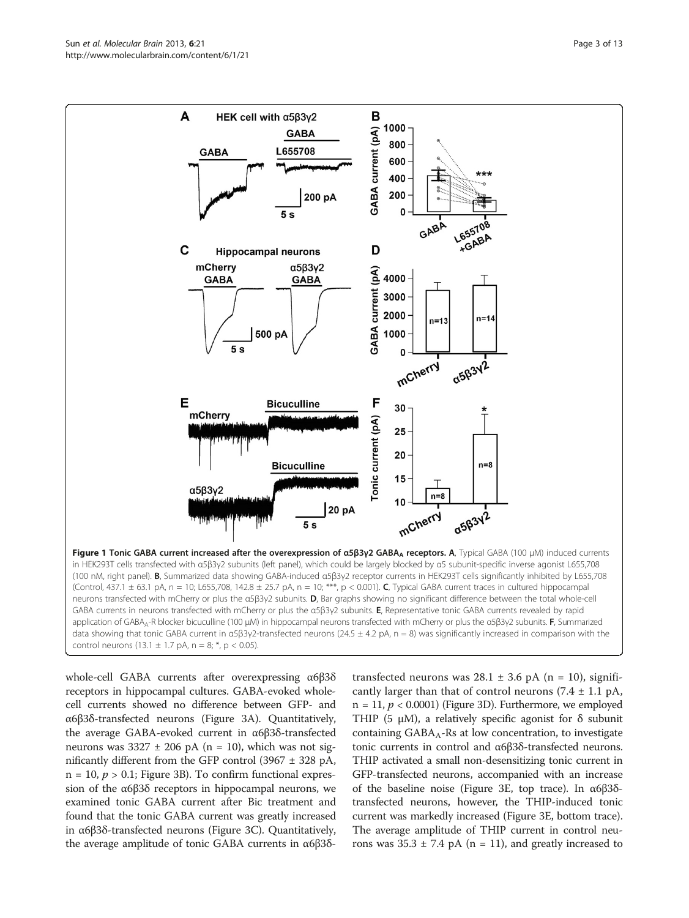<span id="page-2-0"></span>

whole-cell GABA currents after overexpressing α6β3δ receptors in hippocampal cultures. GABA-evoked wholecell currents showed no difference between GFP- and α6β3δ-transfected neurons (Figure [3A](#page-4-0)). Quantitatively, the average GABA-evoked current in α6β3δ-transfected neurons was  $3327 \pm 206$  pA (n = 10), which was not significantly different from the GFP control  $(3967 \pm 328 \text{ pA})$ ,  $n = 10$ ,  $p > 0.1$ ; Figure [3B](#page-4-0)). To confirm functional expression of the α6β3δ receptors in hippocampal neurons, we examined tonic GABA current after Bic treatment and found that the tonic GABA current was greatly increased in α6β3δ-transfected neurons (Figure [3C](#page-4-0)). Quantitatively, the average amplitude of tonic GABA currents in α6β3δtransfected neurons was  $28.1 \pm 3.6$  pA (n = 10), significantly larger than that of control neurons  $(7.4 \pm 1.1 \text{ pA})$ ,  $n = 11$ ,  $p < 0.0001$ ) (Figure [3](#page-4-0)D). Furthermore, we employed THIP (5  $\mu$ M), a relatively specific agonist for  $\delta$  subunit containing  $GABA_A$ -Rs at low concentration, to investigate tonic currents in control and α6β3δ-transfected neurons. THIP activated a small non-desensitizing tonic current in GFP-transfected neurons, accompanied with an increase of the baseline noise (Figure [3](#page-4-0)E, top trace). In α6β3δtransfected neurons, however, the THIP-induced tonic current was markedly increased (Figure [3](#page-4-0)E, bottom trace). The average amplitude of THIP current in control neurons was  $35.3 \pm 7.4$  pA (n = 11), and greatly increased to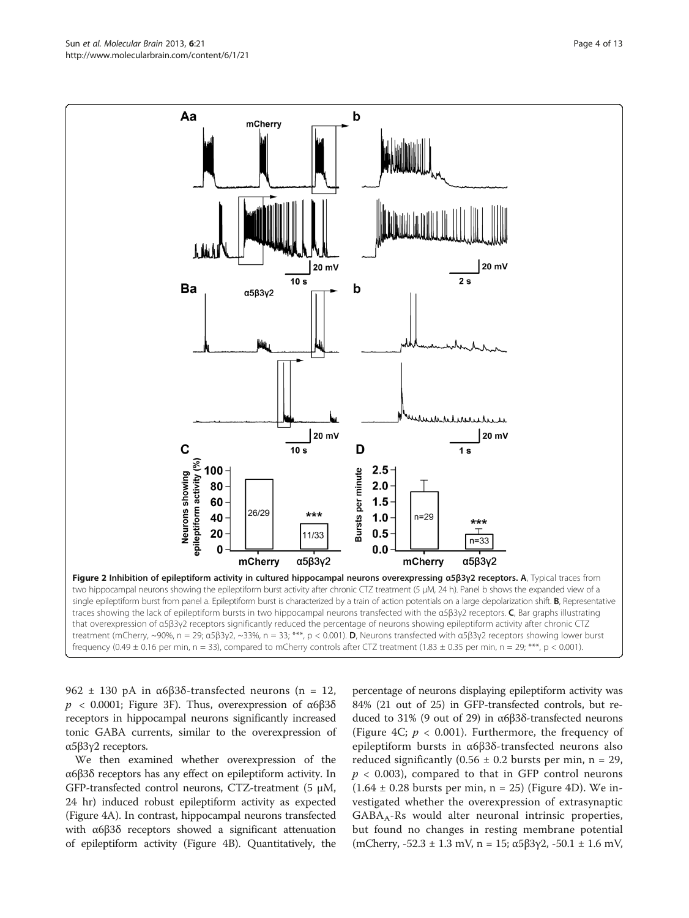962  $\pm$  130 pA in α6β3δ-transfected neurons (n = 12,  $p$  < 0.0001; Figure [3F](#page-4-0)). Thus, overexpression of α6β3δ receptors in hippocampal neurons significantly increased tonic GABA currents, similar to the overexpression of α5β3γ2 receptors.

We then examined whether overexpression of the α6β3δ receptors has any effect on epileptiform activity. In GFP-transfected control neurons, CTZ-treatment (5 μΜ, 24 hr) induced robust epileptiform activity as expected (Figure [4A](#page-5-0)). In contrast, hippocampal neurons transfected with α6β3δ receptors showed a significant attenuation of epileptiform activity (Figure [4](#page-5-0)B). Quantitatively, the

percentage of neurons displaying epileptiform activity was 84% (21 out of 25) in GFP-transfected controls, but reduced to 31% (9 out of 29) in α6β3δ-transfected neurons (Figure [4C](#page-5-0);  $p < 0.001$ ). Furthermore, the frequency of epileptiform bursts in α6β3δ-transfected neurons also reduced significantly (0.56  $\pm$  0.2 bursts per min, n = 29,  $p < 0.003$ ), compared to that in GFP control neurons  $(1.64 \pm 0.28$  bursts per min, n = 25) (Figure [4D](#page-5-0)). We investigated whether the overexpression of extrasynaptic  $GABA_A-Rs$  would alter neuronal intrinsic properties, but found no changes in resting membrane potential (mCherry,  $-52.3 \pm 1.3$  mV, n = 15;  $\alpha 5\beta 3\gamma 2$ ,  $-50.1 \pm 1.6$  mV,

Figure 2 Inhibition of epileptiform activity in cultured hippocampal neurons overexpressing α5β3γ2 receptors. A, Typical traces from two hippocampal neurons showing the epileptiform burst activity after chronic CTZ treatment (5 μΜ, 24 h). Panel b shows the expanded view of a single epileptiform burst from panel a. Epileptiform burst is characterized by a train of action potentials on a large depolarization shift. B, Representative traces showing the lack of epileptiform bursts in two hippocampal neurons transfected with the α5β3γ2 receptors.  $C$ , Bar graphs illustrating that overexpression of α5β3γ2 receptors significantly reduced the percentage of neurons showing epileptiform activity after chronic CTZ treatment (mCherry, ~90%, n = 29; α5β3γ2, ~33%, n = 33; \*\*\*, p < 0.001). D, Neurons transfected with α5β3γ2 receptors showing lower burst frequency (0.49  $\pm$  0.16 per min, n = 33), compared to mCherry controls after CTZ treatment (1.83  $\pm$  0.35 per min, n = 29; \*\*\*, p < 0.001).

<span id="page-3-0"></span>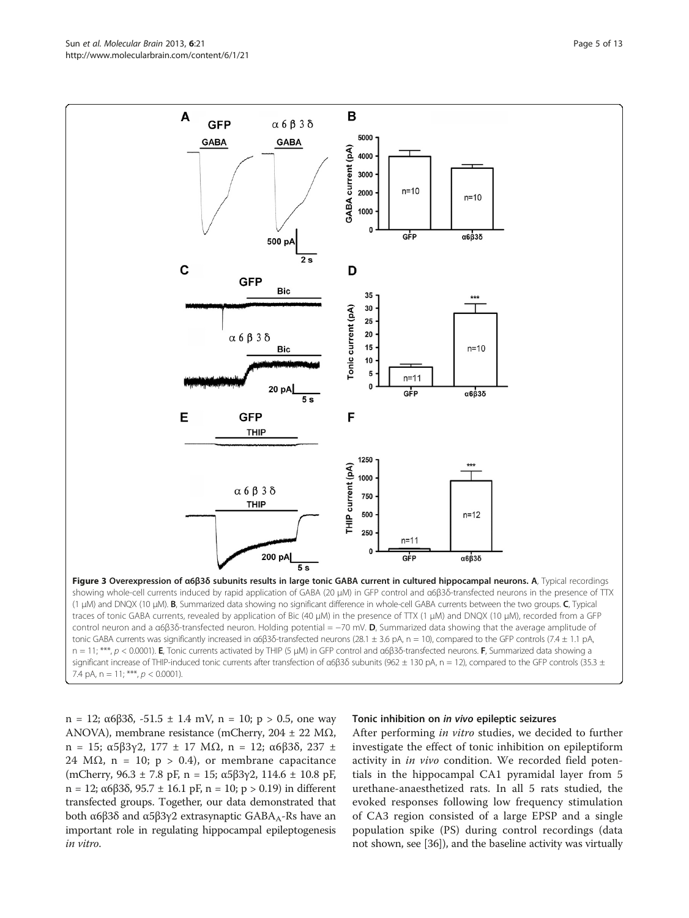n = 12; α6β3δ, -51.5  $\pm$  1.4 mV, n = 10; p > 0.5, one way ANOVA), membrane resistance (mCherry,  $204 \pm 22$  M $\Omega$ , n = 15; α5β3γ2, 177 ± 17 MΩ, n = 12; α6β3δ, 237 ± 24 M $\Omega$ , n = 10; p > 0.4), or membrane capacitance (mCherry, 96.3 ± 7.8 pF, n = 15; α5β3γ2, 114.6 ± 10.8 pF, n = 12; α6β3δ, 95.7 ± 16.1 pF, n = 10; p > 0.19) in different transfected groups. Together, our data demonstrated that both α6β3δ and α5β3γ2 extrasynaptic GABA<sub>A</sub>-Rs have an important role in regulating hippocampal epileptogenesis in vitro.

#### Tonic inhibition on in vivo epileptic seizures

After performing in vitro studies, we decided to further investigate the effect of tonic inhibition on epileptiform activity in *in vivo* condition. We recorded field potentials in the hippocampal CA1 pyramidal layer from 5 urethane-anaesthetized rats. In all 5 rats studied, the evoked responses following low frequency stimulation of CA3 region consisted of a large EPSP and a single population spike (PS) during control recordings (data not shown, see [[36](#page-11-0)]), and the baseline activity was virtually

<span id="page-4-0"></span>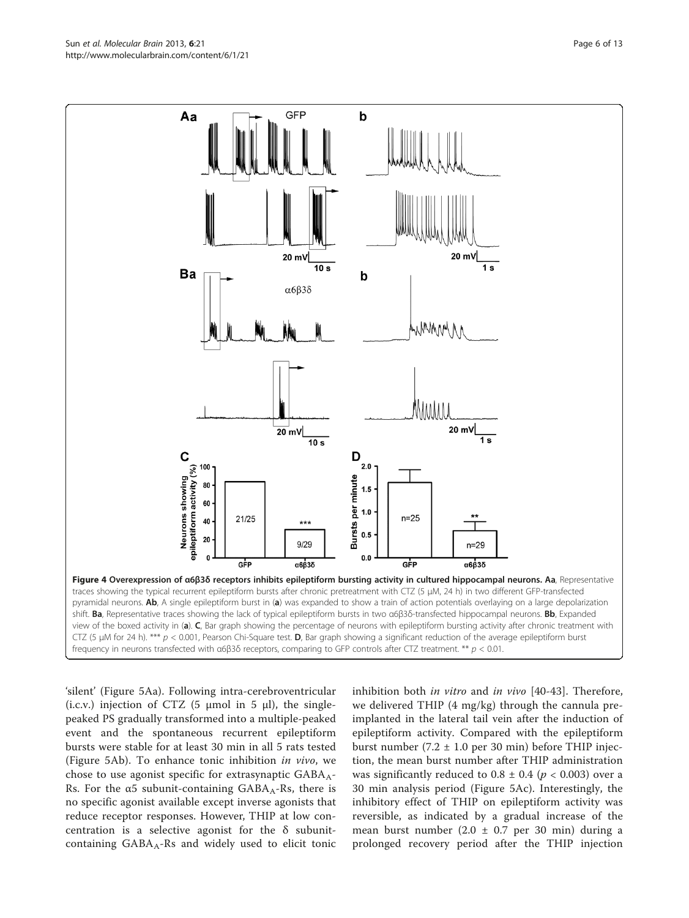<span id="page-5-0"></span>

'silent' (Figure [5](#page-6-0)Aa). Following intra-cerebroventricular (i.c.v.) injection of CTZ (5  $\mu$ mol in 5  $\mu$ l), the singlepeaked PS gradually transformed into a multiple-peaked event and the spontaneous recurrent epileptiform bursts were stable for at least 30 min in all 5 rats tested (Figure [5A](#page-6-0)b). To enhance tonic inhibition in vivo, we chose to use agonist specific for extrasynaptic  $GABA_A-$ Rs. For the  $\alpha$ 5 subunit-containing GABA<sub>A</sub>-Rs, there is no specific agonist available except inverse agonists that reduce receptor responses. However, THIP at low concentration is a selective agonist for the δ subunitcontaining  $GABA_A-Rs$  and widely used to elicit tonic inhibition both in vitro and in vivo [\[40](#page-11-0)-[43\]](#page-11-0). Therefore, we delivered THIP (4 mg/kg) through the cannula preimplanted in the lateral tail vein after the induction of epileptiform activity. Compared with the epileptiform burst number (7.2  $\pm$  1.0 per 30 min) before THIP injection, the mean burst number after THIP administration was significantly reduced to  $0.8 \pm 0.4$  ( $p < 0.003$ ) over a 30 min analysis period (Figure [5A](#page-6-0)c). Interestingly, the inhibitory effect of THIP on epileptiform activity was reversible, as indicated by a gradual increase of the mean burst number  $(2.0 \pm 0.7 \text{ per } 30 \text{ min})$  during a prolonged recovery period after the THIP injection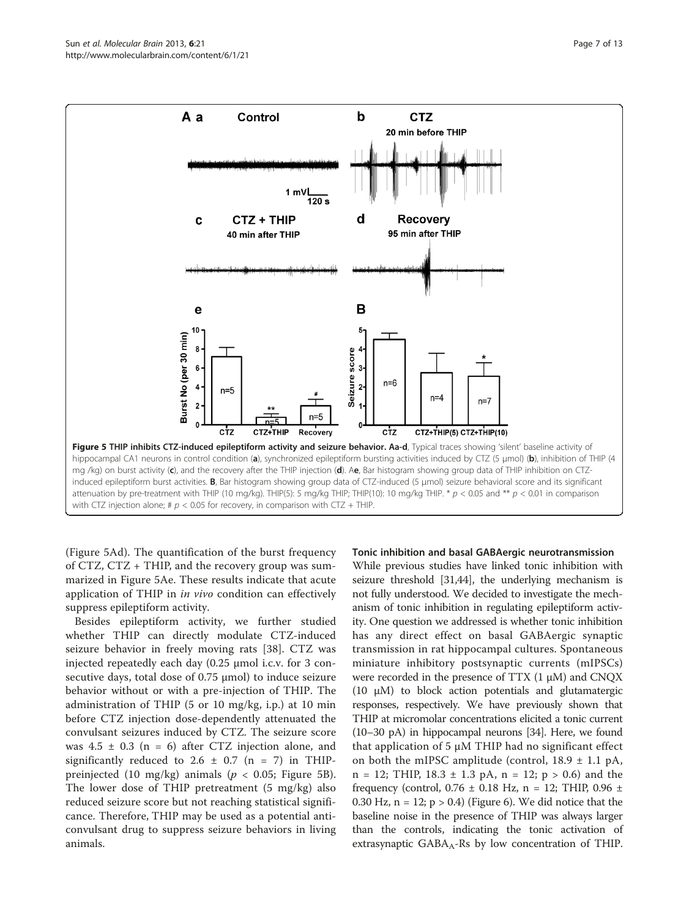<span id="page-6-0"></span>

(Figure 5Ad). The quantification of the burst frequency of CTZ, CTZ + THIP, and the recovery group was summarized in Figure 5Ae. These results indicate that acute application of THIP in in vivo condition can effectively suppress epileptiform activity.

Besides epileptiform activity, we further studied whether THIP can directly modulate CTZ-induced seizure behavior in freely moving rats [[38](#page-11-0)]. CTZ was injected repeatedly each day (0.25 μmol i.c.v. for 3 consecutive days, total dose of 0.75 μmol) to induce seizure behavior without or with a pre-injection of THIP. The administration of THIP (5 or 10 mg/kg, i.p.) at 10 min before CTZ injection dose-dependently attenuated the convulsant seizures induced by CTZ. The seizure score was  $4.5 \pm 0.3$  (n = 6) after CTZ injection alone, and significantly reduced to 2.6  $\pm$  0.7 (n = 7) in THIPpreinjected (10 mg/kg) animals ( $p < 0.05$ ; Figure 5B). The lower dose of THIP pretreatment (5 mg/kg) also reduced seizure score but not reaching statistical significance. Therefore, THIP may be used as a potential anticonvulsant drug to suppress seizure behaviors in living animals.

Tonic inhibition and basal GABAergic neurotransmission

While previous studies have linked tonic inhibition with seizure threshold [[31,44](#page-11-0)], the underlying mechanism is not fully understood. We decided to investigate the mechanism of tonic inhibition in regulating epileptiform activity. One question we addressed is whether tonic inhibition has any direct effect on basal GABAergic synaptic transmission in rat hippocampal cultures. Spontaneous miniature inhibitory postsynaptic currents (mIPSCs) were recorded in the presence of TTX (1 μM) and CNQX (10 μM) to block action potentials and glutamatergic responses, respectively. We have previously shown that THIP at micromolar concentrations elicited a tonic current (10–30 pA) in hippocampal neurons [\[34](#page-11-0)]. Here, we found that application of 5 μM THIP had no significant effect on both the mIPSC amplitude (control,  $18.9 \pm 1.1$  pA,  $n = 12$ ; THIP, 18.3  $\pm$  1.3 pA,  $n = 12$ ;  $p > 0.6$ ) and the frequency (control,  $0.76 \pm 0.18$  Hz, n = 12; THIP,  $0.96 \pm 0.18$ 0.30 Hz,  $n = 12$ ;  $p > 0.4$ ) (Figure [6](#page-7-0)). We did notice that the baseline noise in the presence of THIP was always larger than the controls, indicating the tonic activation of extrasynaptic  $GABA_A-Rs$  by low concentration of THIP.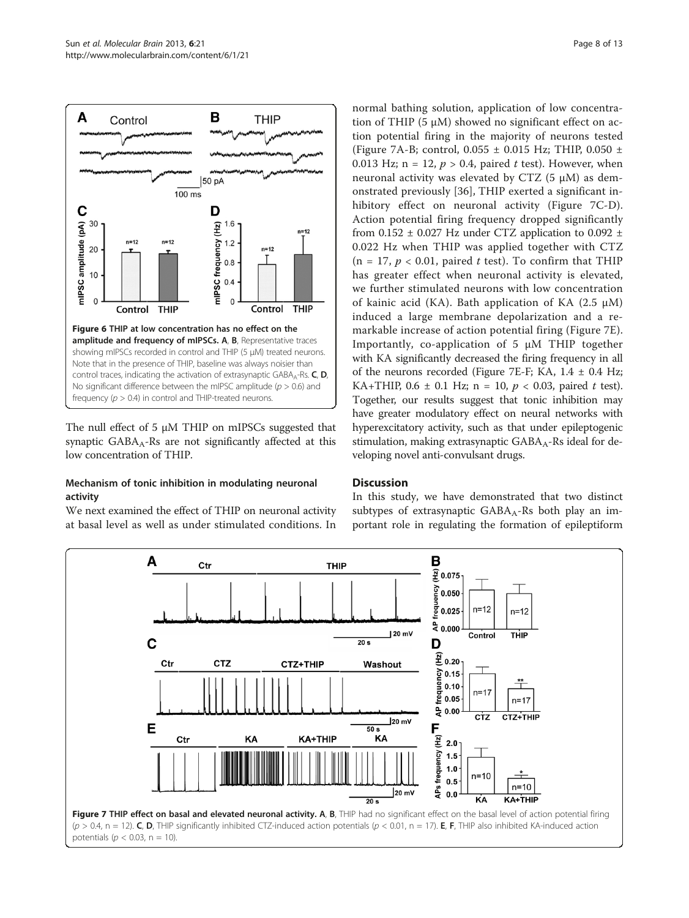<span id="page-7-0"></span>

The null effect of 5  $\mu$ M THIP on mIPSCs suggested that synaptic  $GABA_A-Rs$  are not significantly affected at this low concentration of THIP.

## Mechanism of tonic inhibition in modulating neuronal activity

We next examined the effect of THIP on neuronal activity at basal level as well as under stimulated conditions. In

normal bathing solution, application of low concentration of THIP (5 μM) showed no significant effect on action potential firing in the majority of neurons tested (Figure 7A-B; control,  $0.055 \pm 0.015$  Hz; THIP,  $0.050 \pm 0.05$ 0.013 Hz; n = 12,  $p > 0.4$ , paired t test). However, when neuronal activity was elevated by CTZ  $(5 \mu M)$  as demonstrated previously [[36\]](#page-11-0), THIP exerted a significant inhibitory effect on neuronal activity (Figure 7C-D). Action potential firing frequency dropped significantly from 0.152  $\pm$  0.027 Hz under CTZ application to 0.092  $\pm$ 0.022 Hz when THIP was applied together with CTZ  $(n = 17, p < 0.01,$  paired t test). To confirm that THIP has greater effect when neuronal activity is elevated, we further stimulated neurons with low concentration of kainic acid (KA). Bath application of KA (2.5 μM) induced a large membrane depolarization and a remarkable increase of action potential firing (Figure 7E). Importantly, co-application of 5 μM THIP together with KA significantly decreased the firing frequency in all of the neurons recorded (Figure 7E-F; KA,  $1.4 \pm 0.4$  Hz; KA+THIP, 0.6  $\pm$  0.1 Hz; n = 10, p < 0.03, paired t test). Together, our results suggest that tonic inhibition may have greater modulatory effect on neural networks with hyperexcitatory activity, such as that under epileptogenic stimulation, making extrasynaptic GABA<sub>A</sub>-Rs ideal for developing novel anti-convulsant drugs.

# **Discussion**

In this study, we have demonstrated that two distinct subtypes of extrasynaptic  $GABA_A-Rs$  both play an important role in regulating the formation of epileptiform

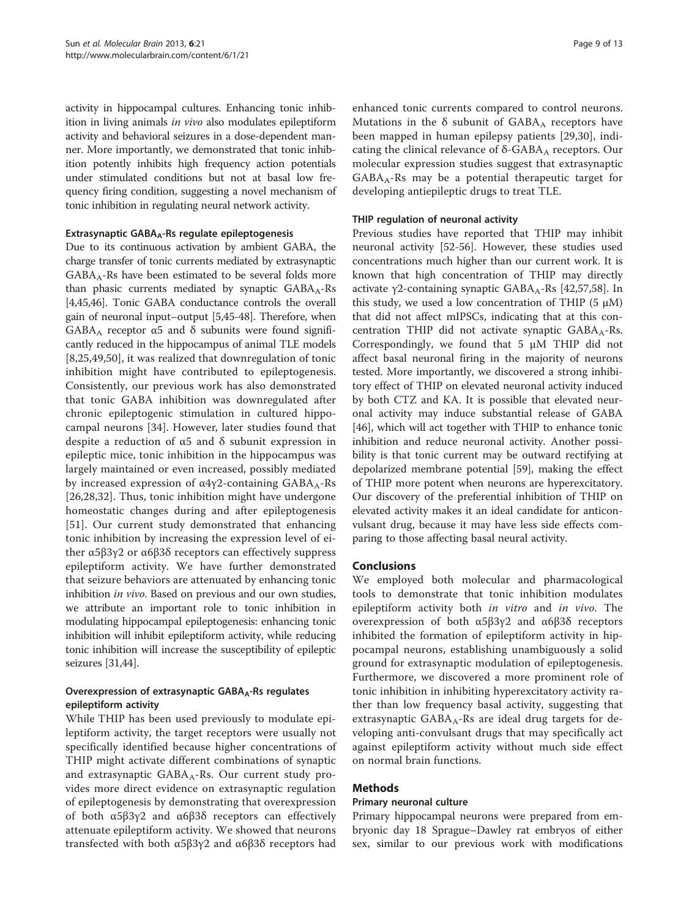activity in hippocampal cultures. Enhancing tonic inhibition in living animals in vivo also modulates epileptiform activity and behavioral seizures in a dose-dependent manner. More importantly, we demonstrated that tonic inhibition potently inhibits high frequency action potentials under stimulated conditions but not at basal low frequency firing condition, suggesting a novel mechanism of tonic inhibition in regulating neural network activity.

#### Extrasynaptic GABA<sub>A</sub>-Rs regulate epileptogenesis

Due to its continuous activation by ambient GABA, the charge transfer of tonic currents mediated by extrasynaptic  $GABA_A-Rs$  have been estimated to be several folds more than phasic currents mediated by synaptic  $GABA_A-Rs$ [[4,](#page-10-0)[45,46\]](#page-11-0). Tonic GABA conductance controls the overall gain of neuronal input–output [\[5](#page-10-0)[,45-48\]](#page-11-0). Therefore, when GABA<sub>A</sub> receptor  $\alpha$ 5 and  $\delta$  subunits were found significantly reduced in the hippocampus of animal TLE models [[8](#page-10-0)[,25,49,50\]](#page-11-0), it was realized that downregulation of tonic inhibition might have contributed to epileptogenesis. Consistently, our previous work has also demonstrated that tonic GABA inhibition was downregulated after chronic epileptogenic stimulation in cultured hippocampal neurons [\[34](#page-11-0)]. However, later studies found that despite a reduction of  $α5$  and  $δ$  subunit expression in epileptic mice, tonic inhibition in the hippocampus was largely maintained or even increased, possibly mediated by increased expression of  $α4γ2$ -containing  $GABA_A-Rs$ [[26,28,32\]](#page-11-0). Thus, tonic inhibition might have undergone homeostatic changes during and after epileptogenesis [[51\]](#page-11-0). Our current study demonstrated that enhancing tonic inhibition by increasing the expression level of either α5β3γ2 or α6β3δ receptors can effectively suppress epileptiform activity. We have further demonstrated that seizure behaviors are attenuated by enhancing tonic inhibition *in vivo*. Based on previous and our own studies, we attribute an important role to tonic inhibition in modulating hippocampal epileptogenesis: enhancing tonic inhibition will inhibit epileptiform activity, while reducing tonic inhibition will increase the susceptibility of epileptic seizures [[31](#page-11-0),[44](#page-11-0)].

## Overexpression of extrasynaptic  $GABA_A-Rs$  regulates epileptiform activity

While THIP has been used previously to modulate epileptiform activity, the target receptors were usually not specifically identified because higher concentrations of THIP might activate different combinations of synaptic and extrasynaptic  $GABA_A-Rs$ . Our current study provides more direct evidence on extrasynaptic regulation of epileptogenesis by demonstrating that overexpression of both α5β3γ2 and α6β3δ receptors can effectively attenuate epileptiform activity. We showed that neurons transfected with both α5β3γ2 and α6β3δ receptors had

enhanced tonic currents compared to control neurons. Mutations in the  $\delta$  subunit of GABA<sub>A</sub> receptors have been mapped in human epilepsy patients [\[29](#page-11-0),[30\]](#page-11-0), indicating the clinical relevance of  $\delta$ -GABA<sub>A</sub> receptors. Our molecular expression studies suggest that extrasynaptic  $GABA_A-Rs$  may be a potential therapeutic target for developing antiepileptic drugs to treat TLE.

#### THIP regulation of neuronal activity

Previous studies have reported that THIP may inhibit neuronal activity [[52](#page-11-0)-[56\]](#page-12-0). However, these studies used concentrations much higher than our current work. It is known that high concentration of THIP may directly activate γ2-containing synaptic  $GABA_A-Rs$  [[42](#page-11-0),[57,58](#page-12-0)]. In this study, we used a low concentration of THIP  $(5 \mu M)$ that did not affect mIPSCs, indicating that at this concentration THIP did not activate synaptic  $GABA_A-Rs$ . Correspondingly, we found that 5 μM THIP did not affect basal neuronal firing in the majority of neurons tested. More importantly, we discovered a strong inhibitory effect of THIP on elevated neuronal activity induced by both CTZ and KA. It is possible that elevated neuronal activity may induce substantial release of GABA [[46\]](#page-11-0), which will act together with THIP to enhance tonic inhibition and reduce neuronal activity. Another possibility is that tonic current may be outward rectifying at depolarized membrane potential [\[59](#page-12-0)], making the effect of THIP more potent when neurons are hyperexcitatory. Our discovery of the preferential inhibition of THIP on elevated activity makes it an ideal candidate for anticonvulsant drug, because it may have less side effects comparing to those affecting basal neural activity.

#### Conclusions

We employed both molecular and pharmacological tools to demonstrate that tonic inhibition modulates epileptiform activity both in vitro and in vivo. The overexpression of both α5β3γ2 and α6β3δ receptors inhibited the formation of epileptiform activity in hippocampal neurons, establishing unambiguously a solid ground for extrasynaptic modulation of epileptogenesis. Furthermore, we discovered a more prominent role of tonic inhibition in inhibiting hyperexcitatory activity rather than low frequency basal activity, suggesting that extrasynaptic  $GABA_A-Rs$  are ideal drug targets for developing anti-convulsant drugs that may specifically act against epileptiform activity without much side effect on normal brain functions.

#### Methods

#### Primary neuronal culture

Primary hippocampal neurons were prepared from embryonic day 18 Sprague–Dawley rat embryos of either sex, similar to our previous work with modifications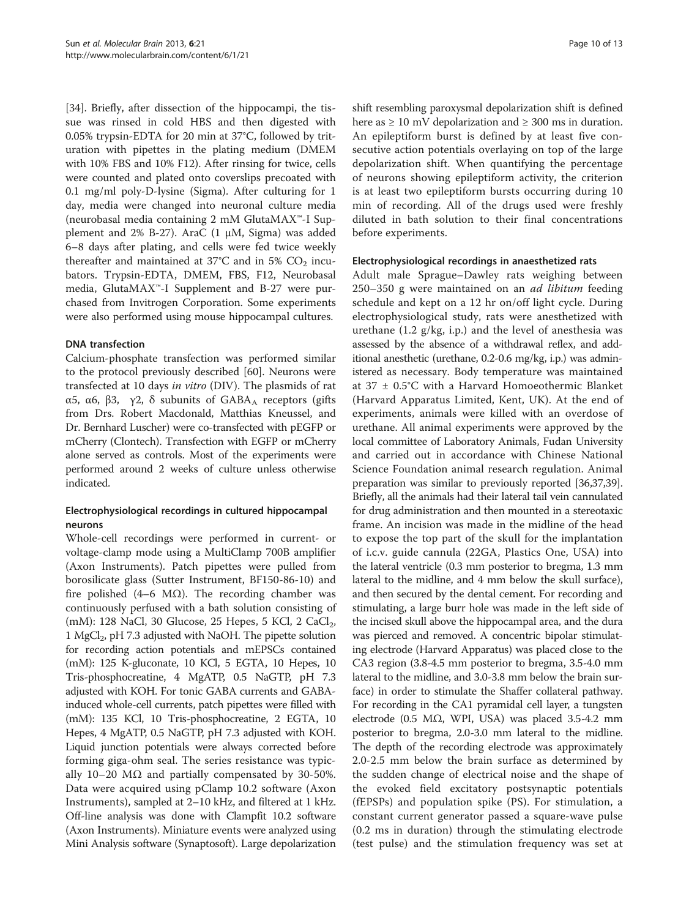[[34\]](#page-11-0). Briefly, after dissection of the hippocampi, the tissue was rinsed in cold HBS and then digested with 0.05% trypsin-EDTA for 20 min at 37°C, followed by trituration with pipettes in the plating medium (DMEM with 10% FBS and 10% F12). After rinsing for twice, cells were counted and plated onto coverslips precoated with 0.1 mg/ml poly-D-lysine (Sigma). After culturing for 1 day, media were changed into neuronal culture media (neurobasal media containing 2 mM GlutaMAX™-I Supplement and 2% B-27). AraC (1 μM, Sigma) was added 6–8 days after plating, and cells were fed twice weekly thereafter and maintained at  $37^{\circ}$ C and in 5% CO<sub>2</sub> incubators. Trypsin-EDTA, DMEM, FBS, F12, Neurobasal media, GlutaMAX™-I Supplement and B-27 were purchased from Invitrogen Corporation. Some experiments were also performed using mouse hippocampal cultures.

#### DNA transfection

Calcium-phosphate transfection was performed similar to the protocol previously described [[60\]](#page-12-0). Neurons were transfected at 10 days in vitro (DIV). The plasmids of rat α5, α6, β3, γ2, δ subunits of  $GABA_A$  receptors (gifts from Drs. Robert Macdonald, Matthias Kneussel, and Dr. Bernhard Luscher) were co-transfected with pEGFP or mCherry (Clontech). Transfection with EGFP or mCherry alone served as controls. Most of the experiments were performed around 2 weeks of culture unless otherwise indicated.

## Electrophysiological recordings in cultured hippocampal neurons

Whole-cell recordings were performed in current- or voltage-clamp mode using a MultiClamp 700B amplifier (Axon Instruments). Patch pipettes were pulled from borosilicate glass (Sutter Instrument, BF150-86-10) and fire polished (4–6 M $\Omega$ ). The recording chamber was continuously perfused with a bath solution consisting of (mM): 128 NaCl, 30 Glucose, 25 Hepes, 5 KCl, 2 CaCl<sub>2</sub>, 1 MgCl2, pH 7.3 adjusted with NaOH. The pipette solution for recording action potentials and mEPSCs contained (mM): 125 K-gluconate, 10 KCl, 5 EGTA, 10 Hepes, 10 Tris-phosphocreatine, 4 MgATP, 0.5 NaGTP, pH 7.3 adjusted with KOH. For tonic GABA currents and GABAinduced whole-cell currents, patch pipettes were filled with (mM): 135 KCl, 10 Tris-phosphocreatine, 2 EGTA, 10 Hepes, 4 MgATP, 0.5 NaGTP, pH 7.3 adjusted with KOH. Liquid junction potentials were always corrected before forming giga-ohm seal. The series resistance was typically 10–20 MΩ and partially compensated by 30-50%. Data were acquired using pClamp 10.2 software (Axon Instruments), sampled at 2–10 kHz, and filtered at 1 kHz. Off-line analysis was done with Clampfit 10.2 software (Axon Instruments). Miniature events were analyzed using Mini Analysis software (Synaptosoft). Large depolarization

shift resembling paroxysmal depolarization shift is defined here as  $\geq 10$  mV depolarization and  $\geq 300$  ms in duration. An epileptiform burst is defined by at least five consecutive action potentials overlaying on top of the large depolarization shift. When quantifying the percentage of neurons showing epileptiform activity, the criterion is at least two epileptiform bursts occurring during 10 min of recording. All of the drugs used were freshly diluted in bath solution to their final concentrations before experiments.

#### Electrophysiological recordings in anaesthetized rats

Adult male Sprague–Dawley rats weighing between 250–350 g were maintained on an ad libitum feeding schedule and kept on a 12 hr on/off light cycle. During electrophysiological study, rats were anesthetized with urethane (1.2 g/kg, i.p.) and the level of anesthesia was assessed by the absence of a withdrawal reflex, and additional anesthetic (urethane, 0.2-0.6 mg/kg, i.p.) was administered as necessary. Body temperature was maintained at 37 ± 0.5°C with a Harvard Homoeothermic Blanket (Harvard Apparatus Limited, Kent, UK). At the end of experiments, animals were killed with an overdose of urethane. All animal experiments were approved by the local committee of Laboratory Animals, Fudan University and carried out in accordance with Chinese National Science Foundation animal research regulation. Animal preparation was similar to previously reported [\[36,37,39](#page-11-0)]. Briefly, all the animals had their lateral tail vein cannulated for drug administration and then mounted in a stereotaxic frame. An incision was made in the midline of the head to expose the top part of the skull for the implantation of i.c.v. guide cannula (22GA, Plastics One, USA) into the lateral ventricle (0.3 mm posterior to bregma, 1.3 mm lateral to the midline, and 4 mm below the skull surface), and then secured by the dental cement. For recording and stimulating, a large burr hole was made in the left side of the incised skull above the hippocampal area, and the dura was pierced and removed. A concentric bipolar stimulating electrode (Harvard Apparatus) was placed close to the CA3 region (3.8-4.5 mm posterior to bregma, 3.5-4.0 mm lateral to the midline, and 3.0-3.8 mm below the brain surface) in order to stimulate the Shaffer collateral pathway. For recording in the CA1 pyramidal cell layer, a tungsten electrode (0.5 MΩ, WPI, USA) was placed 3.5-4.2 mm posterior to bregma, 2.0-3.0 mm lateral to the midline. The depth of the recording electrode was approximately 2.0-2.5 mm below the brain surface as determined by the sudden change of electrical noise and the shape of the evoked field excitatory postsynaptic potentials (fEPSPs) and population spike (PS). For stimulation, a constant current generator passed a square-wave pulse (0.2 ms in duration) through the stimulating electrode (test pulse) and the stimulation frequency was set at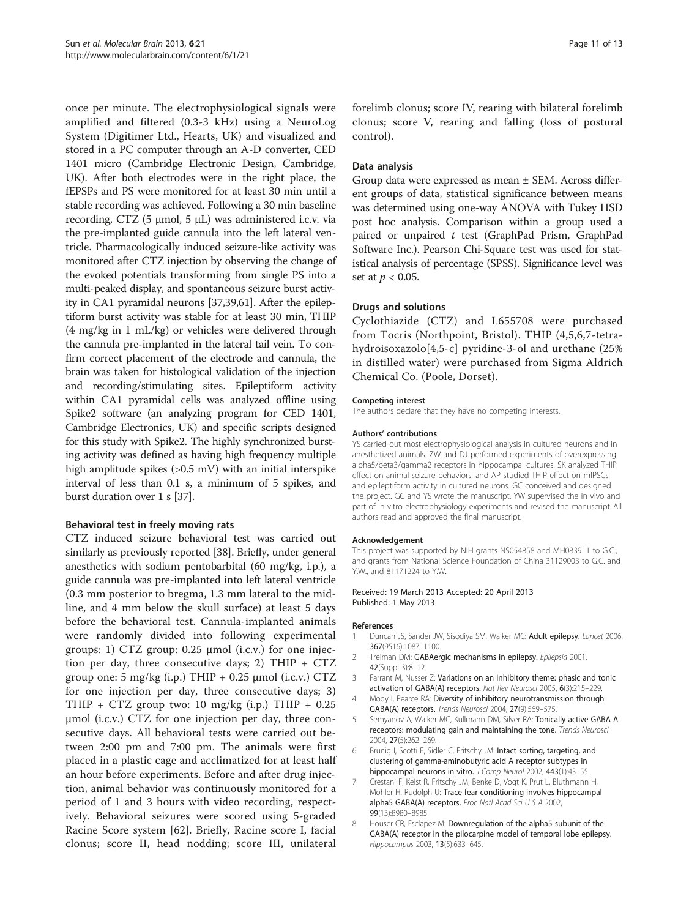<span id="page-10-0"></span>once per minute. The electrophysiological signals were amplified and filtered (0.3-3 kHz) using a NeuroLog System (Digitimer Ltd., Hearts, UK) and visualized and stored in a PC computer through an A-D converter, CED 1401 micro (Cambridge Electronic Design, Cambridge, UK). After both electrodes were in the right place, the fEPSPs and PS were monitored for at least 30 min until a stable recording was achieved. Following a 30 min baseline recording, CTZ (5 μmol, 5 μL) was administered i.c.v. via the pre-implanted guide cannula into the left lateral ventricle. Pharmacologically induced seizure-like activity was monitored after CTZ injection by observing the change of the evoked potentials transforming from single PS into a multi-peaked display, and spontaneous seizure burst activity in CA1 pyramidal neurons [\[37,39](#page-11-0)[,61\]](#page-12-0). After the epileptiform burst activity was stable for at least 30 min, THIP (4 mg/kg in 1 mL/kg) or vehicles were delivered through the cannula pre-implanted in the lateral tail vein. To confirm correct placement of the electrode and cannula, the brain was taken for histological validation of the injection and recording/stimulating sites. Epileptiform activity within CA1 pyramidal cells was analyzed offline using Spike2 software (an analyzing program for CED 1401, Cambridge Electronics, UK) and specific scripts designed for this study with Spike2. The highly synchronized bursting activity was defined as having high frequency multiple high amplitude spikes (>0.5 mV) with an initial interspike interval of less than 0.1 s, a minimum of 5 spikes, and burst duration over 1 s [\[37](#page-11-0)].

#### Behavioral test in freely moving rats

CTZ induced seizure behavioral test was carried out similarly as previously reported [\[38](#page-11-0)]. Briefly, under general anesthetics with sodium pentobarbital (60 mg/kg, i.p.), a guide cannula was pre-implanted into left lateral ventricle (0.3 mm posterior to bregma, 1.3 mm lateral to the midline, and 4 mm below the skull surface) at least 5 days before the behavioral test. Cannula-implanted animals were randomly divided into following experimental groups: 1) CTZ group: 0.25 μmol (i.c.v.) for one injection per day, three consecutive days; 2) THIP +  $CTZ$ group one: 5 mg/kg (i.p.) THIP  $+$  0.25  $\mu$ mol (i.c.v.) CTZ for one injection per day, three consecutive days; 3) THIP + CTZ group two: 10 mg/kg (i.p.) THIP + 0.25 μmol (i.c.v.) CTZ for one injection per day, three consecutive days. All behavioral tests were carried out between 2:00 pm and 7:00 pm. The animals were first placed in a plastic cage and acclimatized for at least half an hour before experiments. Before and after drug injection, animal behavior was continuously monitored for a period of 1 and 3 hours with video recording, respectively. Behavioral seizures were scored using 5-graded Racine Score system [\[62](#page-12-0)]. Briefly, Racine score I, facial clonus; score II, head nodding; score III, unilateral

forelimb clonus; score IV, rearing with bilateral forelimb clonus; score V, rearing and falling (loss of postural control).

#### Data analysis

Group data were expressed as mean ± SEM. Across different groups of data, statistical significance between means was determined using one-way ANOVA with Tukey HSD post hoc analysis. Comparison within a group used a paired or unpaired t test (GraphPad Prism, GraphPad Software Inc.). Pearson Chi-Square test was used for statistical analysis of percentage (SPSS). Significance level was set at  $p < 0.05$ .

#### Drugs and solutions

Cyclothiazide (CTZ) and L655708 were purchased from Tocris (Northpoint, Bristol). THIP (4,5,6,7-tetrahydroisoxazolo[4,5-c] pyridine-3-ol and urethane (25% in distilled water) were purchased from Sigma Aldrich Chemical Co. (Poole, Dorset).

#### Competing interest

The authors declare that they have no competing interests.

#### Authors' contributions

YS carried out most electrophysiological analysis in cultured neurons and in anesthetized animals. ZW and DJ performed experiments of overexpressing alpha5/beta3/gamma2 receptors in hippocampal cultures. SK analyzed THIP effect on animal seizure behaviors, and AP studied THIP effect on mIPSCs and epileptiform activity in cultured neurons. GC conceived and designed the project. GC and YS wrote the manuscript. YW supervised the in vivo and part of in vitro electrophysiology experiments and revised the manuscript. All authors read and approved the final manuscript.

#### Acknowledgement

This project was supported by NIH grants NS054858 and MH083911 to G.C., and grants from National Science Foundation of China 31129003 to G.C. and Y.W., and 81171224 to Y.W.

#### Received: 19 March 2013 Accepted: 20 April 2013 Published: 1 May 2013

#### References

- 1. Duncan JS, Sander JW, Sisodiya SM, Walker MC: Adult epilepsy. Lancet 2006, 367(9516):1087–1100.
- 2. Treiman DM: GABAergic mechanisms in epilepsy. Epilepsia 2001, 42(Suppl 3):8–12.
- 3. Farrant M, Nusser Z: Variations on an inhibitory theme: phasic and tonic activation of GABA(A) receptors. Nat Rev Neurosci 2005, 6(3):215–229.
- 4. Mody I, Pearce RA: Diversity of inhibitory neurotransmission through GABA(A) receptors. Trends Neurosci 2004, 27(9):569–575.
- 5. Semyanov A, Walker MC, Kullmann DM, Silver RA: Tonically active GABA A receptors: modulating gain and maintaining the tone. Trends Neurosci 2004, 27(5):262–269.
- 6. Brunig I, Scotti E, Sidler C, Fritschy JM: Intact sorting, targeting, and clustering of gamma-aminobutyric acid A receptor subtypes in hippocampal neurons in vitro. J Comp Neurol 2002, 443(1):43-55.
- 7. Crestani F, Keist R, Fritschy JM, Benke D, Vogt K, Prut L, Bluthmann H, Mohler H, Rudolph U: Trace fear conditioning involves hippocampal alpha5 GABA(A) receptors. Proc Natl Acad Sci U S A 2002, 99(13):8980–8985.
- 8. Houser CR, Esclapez M: Downregulation of the alpha5 subunit of the GABA(A) receptor in the pilocarpine model of temporal lobe epilepsy. Hippocampus 2003, 13(5):633–645.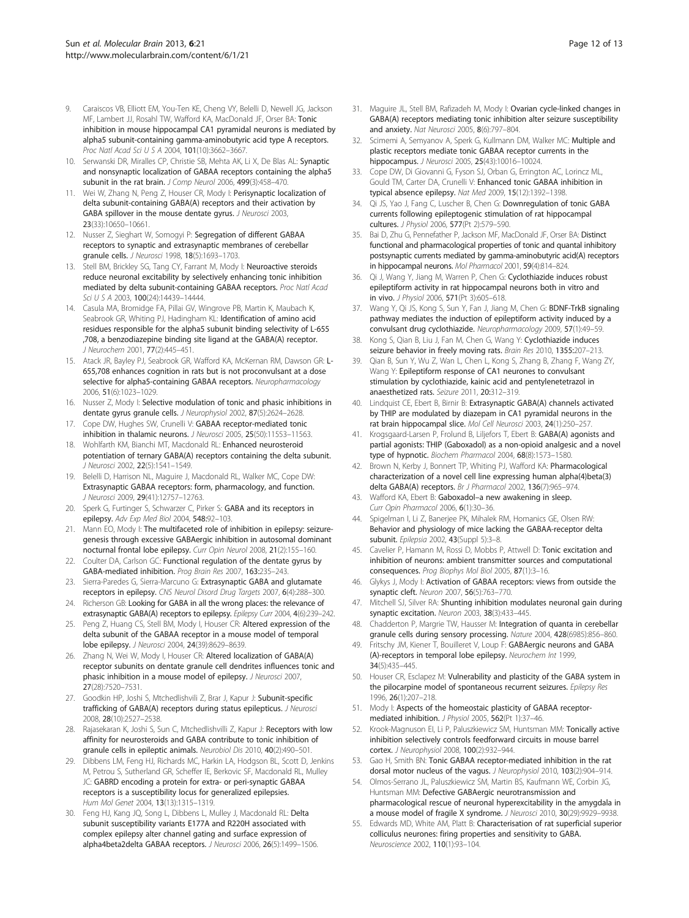- <span id="page-11-0"></span>9. Caraiscos VB, Elliott EM, You-Ten KE, Cheng VY, Belelli D, Newell JG, Jackson MF, Lambert JJ, Rosahl TW, Wafford KA, MacDonald JF, Orser BA: Tonic inhibition in mouse hippocampal CA1 pyramidal neurons is mediated by alpha5 subunit-containing gamma-aminobutyric acid type A receptors. Proc Natl Acad Sci U S A 2004, 101(10):3662–3667.
- 10. Serwanski DR, Miralles CP, Christie SB, Mehta AK, Li X, De Blas AL: Synaptic and nonsynaptic localization of GABAA receptors containing the alpha5 subunit in the rat brain. J Comp Neurol 2006, 499(3):458-470.
- 11. Wei W, Zhang N, Peng Z, Houser CR, Mody I: Perisynaptic localization of delta subunit-containing GABA(A) receptors and their activation by GABA spillover in the mouse dentate gyrus. J Neurosci 2003, 23(33):10650–10661.
- 12. Nusser Z, Sieghart W, Somogyi P: Segregation of different GABAA receptors to synaptic and extrasynaptic membranes of cerebellar granule cells. J Neurosci 1998, 18(5):1693–1703.
- 13. Stell BM, Brickley SG, Tang CY, Farrant M, Mody I: Neuroactive steroids reduce neuronal excitability by selectively enhancing tonic inhibition mediated by delta subunit-containing GABAA receptors. Proc Natl Acad Sci U S A 2003, 100(24):14439-14444.
- 14. Casula MA, Bromidge FA, Pillai GV, Wingrove PB, Martin K, Maubach K, Seabrook GR, Whiting PJ, Hadingham KL: Identification of amino acid residues responsible for the alpha5 subunit binding selectivity of L-655 ,708, a benzodiazepine binding site ligand at the GABA(A) receptor. J Neurochem 2001, 77(2):445–451.
- 15. Atack JR, Bayley PJ, Seabrook GR, Wafford KA, McKernan RM, Dawson GR: L-655,708 enhances cognition in rats but is not proconvulsant at a dose selective for alpha5-containing GABAA receptors. Neuropharmacology 2006, 51(6):1023–1029.
- 16. Nusser Z, Mody I: Selective modulation of tonic and phasic inhibitions in dentate gyrus granule cells. J Neurophysiol 2002, 87(5):2624–2628.
- 17. Cope DW, Hughes SW, Crunelli V: GABAA receptor-mediated tonic inhibition in thalamic neurons. J Neurosci 2005, 25(50):11553–11563.
- 18. Wohlfarth KM, Bianchi MT, Macdonald RL: Enhanced neurosteroid potentiation of ternary GABA(A) receptors containing the delta subunit. J Neurosci 2002, 22(5):1541–1549.
- 19. Belelli D, Harrison NL, Maguire J, Macdonald RL, Walker MC, Cope DW: Extrasynaptic GABAA receptors: form, pharmacology, and function. J Neurosci 2009, 29(41):12757–12763.
- 20. Sperk G, Furtinger S, Schwarzer C, Pirker S: GABA and its receptors in epilepsy. Adv Exp Med Biol 2004, 548:92–103.
- 21. Mann EO, Mody I: The multifaceted role of inhibition in epilepsy: seizuregenesis through excessive GABAergic inhibition in autosomal dominant nocturnal frontal lobe epilepsy. Curr Opin Neurol 2008, 21(2):155–160.
- 22. Coulter DA, Carlson GC: Functional regulation of the dentate gyrus by GABA-mediated inhibition. Prog Brain Res 2007, 163:235–243.
- 23. Sierra-Paredes G, Sierra-Marcuno G: Extrasynaptic GABA and glutamate receptors in epilepsy. CNS Neurol Disord Drug Targets 2007, 6(4):288–300.
- 24. Richerson GB: Looking for GABA in all the wrong places: the relevance of extrasynaptic GABA(A) receptors to epilepsy. Epilepsy Curr 2004, 4(6):239-242.
- 25. Peng Z, Huang CS, Stell BM, Mody I, Houser CR: Altered expression of the delta subunit of the GABAA receptor in a mouse model of temporal lobe epilepsy. J Neurosci 2004, 24(39):8629–8639.
- 26. Zhang N, Wei W, Mody I, Houser CR: Altered localization of GABA(A) receptor subunits on dentate granule cell dendrites influences tonic and phasic inhibition in a mouse model of epilepsy. J Neurosci 2007, 27(28):7520–7531.
- 27. Goodkin HP, Joshi S, Mtchedlishvili Z, Brar J, Kapur J: Subunit-specific trafficking of GABA(A) receptors during status epilepticus. J Neurosci 2008, 28(10):2527–2538.
- 28. Rajasekaran K, Joshi S, Sun C, Mtchedlishvilli Z, Kapur J: Receptors with low affinity for neurosteroids and GABA contribute to tonic inhibition of granule cells in epileptic animals. Neurobiol Dis 2010, 40(2):490–501.
- 29. Dibbens LM, Feng HJ, Richards MC, Harkin LA, Hodgson BL, Scott D, Jenkins M, Petrou S, Sutherland GR, Scheffer IE, Berkovic SF, Macdonald RL, Mulley JC: GABRD encoding a protein for extra- or peri-synaptic GABAA receptors is a susceptibility locus for generalized epilepsies. Hum Mol Genet 2004, 13(13):1315–1319.
- 30. Feng HJ, Kang JQ, Song L, Dibbens L, Mulley J, Macdonald RL: Delta subunit susceptibility variants E177A and R220H associated with complex epilepsy alter channel gating and surface expression of alpha4beta2delta GABAA receptors. J Neurosci 2006, 26(5):1499–1506.
- 31. Maguire JL, Stell BM, Rafizadeh M, Mody I: Ovarian cycle-linked changes in GABA(A) receptors mediating tonic inhibition alter seizure susceptibility and anxiety. Nat Neurosci 2005, 8(6):797–804.
- 32. Scimemi A, Semyanov A, Sperk G, Kullmann DM, Walker MC: Multiple and plastic receptors mediate tonic GABAA receptor currents in the hippocampus. J Neurosci 2005, 25(43):10016–10024.
- 33. Cope DW, Di Giovanni G, Fyson SJ, Orban G, Errington AC, Lorincz ML, Gould TM, Carter DA, Crunelli V: Enhanced tonic GABAA inhibition in typical absence epilepsy. Nat Med 2009, 15(12):1392–1398.
- 34. Qi JS, Yao J, Fang C, Luscher B, Chen G: Downregulation of tonic GABA currents following epileptogenic stimulation of rat hippocampal cultures. J Physiol 2006, 577(Pt 2):579–590.
- 35. Bai D, Zhu G, Pennefather P, Jackson MF, MacDonald JF, Orser BA: Distinct functional and pharmacological properties of tonic and quantal inhibitory postsynaptic currents mediated by gamma-aminobutyric acid(A) receptors in hippocampal neurons. Mol Pharmacol 2001, 59(4):814-824.
- 36. Qi J, Wang Y, Jiang M, Warren P, Chen G: Cyclothiazide induces robust epileptiform activity in rat hippocampal neurons both in vitro and in vivo. J Physiol 2006, 571(Pt 3):605–618.
- 37. Wang Y, Qi JS, Kong S, Sun Y, Fan J, Jiang M, Chen G: BDNF-TrkB signaling pathway mediates the induction of epileptiform activity induced by a convulsant drug cyclothiazide. Neuropharmacology 2009, 57(1):49–59.
- 38. Kong S, Qian B, Liu J, Fan M, Chen G, Wang Y: Cyclothiazide induces seizure behavior in freely moving rats. Brain Res 2010, 1355:207-213.
- 39. Qian B, Sun Y, Wu Z, Wan L, Chen L, Kong S, Zhang B, Zhang F, Wang ZY, Wang Y: Epileptiform response of CA1 neurones to convulsant stimulation by cyclothiazide, kainic acid and pentylenetetrazol in anaesthetized rats. Seizure 2011, 20:312–319.
- 40. Lindquist CE, Ebert B, Birnir B: Extrasynaptic GABA(A) channels activated by THIP are modulated by diazepam in CA1 pyramidal neurons in the rat brain hippocampal slice. Mol Cell Neurosci 2003, 24(1):250–257.
- 41. Krogsgaard-Larsen P, Frolund B, Liljefors T, Ebert B: GABA(A) agonists and partial agonists: THIP (Gaboxadol) as a non-opioid analgesic and a novel type of hypnotic. Biochem Pharmacol 2004, 68(8):1573–1580.
- 42. Brown N, Kerby J, Bonnert TP, Whiting PJ, Wafford KA: Pharmacological characterization of a novel cell line expressing human alpha(4)beta(3) delta GABA(A) receptors. Br J Pharmacol 2002, 136(7):965–974.
- 43. Wafford KA, Ebert B: Gaboxadol–a new awakening in sleep. Curr Opin Pharmacol 2006, 6(1):30–36.
- 44. Spigelman I, Li Z, Banerjee PK, Mihalek RM, Homanics GE, Olsen RW: Behavior and physiology of mice lacking the GABAA-receptor delta subunit. Epilepsia 2002, 43(Suppl 5):3-8.
- 45. Cavelier P, Hamann M, Rossi D, Mobbs P, Attwell D: Tonic excitation and inhibition of neurons: ambient transmitter sources and computational consequences. Prog Biophys Mol Biol 2005, 87(1):3–16.
- Glykys J, Mody I: Activation of GABAA receptors: views from outside the synaptic cleft. Neuron 2007, 56(5):763–770.
- 47. Mitchell SJ, Silver RA: Shunting inhibition modulates neuronal gain during synaptic excitation. Neuron 2003, 38(3):433–445.
- 48. Chadderton P, Margrie TW, Hausser M: Integration of quanta in cerebellar granule cells during sensory processing. Nature 2004, 428(6985):856–860.
- 49. Fritschy JM, Kiener T, Bouilleret V, Loup F: GABAergic neurons and GABA (A)-receptors in temporal lobe epilepsy. Neurochem Int 1999, 34(5):435–445.
- 50. Houser CR, Esclapez M: Vulnerability and plasticity of the GABA system in the pilocarpine model of spontaneous recurrent seizures. Epilepsy Res 1996, 26(1):207–218.
- 51. Mody I: Aspects of the homeostaic plasticity of GABAA receptormediated inhibition. J Physiol 2005, 562(Pt 1):37–46.
- 52. Krook-Magnuson El, Li P, Paluszkiewicz SM, Huntsman MM: Tonically active inhibition selectively controls feedforward circuits in mouse barrel cortex. J Neurophysiol 2008, 100(2):932–944.
- 53. Gao H, Smith BN: Tonic GABAA receptor-mediated inhibition in the rat dorsal motor nucleus of the vagus. J Neurophysiol 2010, 103(2):904–914.
- 54. Olmos-Serrano JL, Paluszkiewicz SM, Martin BS, Kaufmann WE, Corbin JG, Huntsman MM: Defective GABAergic neurotransmission and pharmacological rescue of neuronal hyperexcitability in the amygdala in a mouse model of fragile X syndrome. J Neurosci 2010, 30(29):9929–9938.
- 55. Edwards MD, White AM, Platt B: Characterisation of rat superficial superior colliculus neurones: firing properties and sensitivity to GABA. Neuroscience 2002, 110(1):93–104.